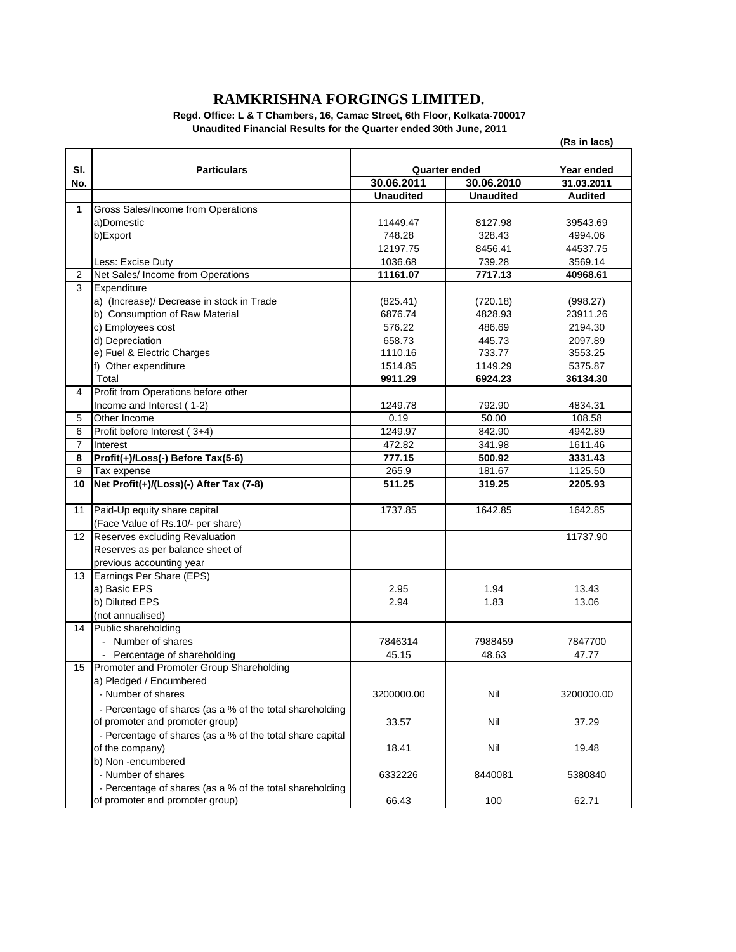## **RAMKRISHNA FORGINGS LIMITED.**

**Regd. Office: L & T Chambers, 16, Camac Street, 6th Floor, Kolkata-700017 Unaudited Financial Results for the Quarter ended 30th June, 2011**

|                |                                                           | (Rs in lacs)     |                      |                |
|----------------|-----------------------------------------------------------|------------------|----------------------|----------------|
|                | <b>Particulars</b>                                        |                  |                      |                |
| SI.            |                                                           |                  | <b>Quarter ended</b> | Year ended     |
| No.            |                                                           | 30.06.2011       | 30.06.2010           | 31.03.2011     |
|                |                                                           | <b>Unaudited</b> | <b>Unaudited</b>     | <b>Audited</b> |
| 1              | Gross Sales/Income from Operations                        |                  |                      |                |
|                | a)Domestic                                                | 11449.47         | 8127.98              | 39543.69       |
|                | b)Export                                                  | 748.28           | 328.43               | 4994.06        |
|                |                                                           | 12197.75         | 8456.41              | 44537.75       |
|                | Less: Excise Duty                                         | 1036.68          | 739.28               | 3569.14        |
| $\overline{2}$ | Net Sales/ Income from Operations                         | 11161.07         | 7717.13              | 40968.61       |
| 3              | Expenditure                                               |                  |                      |                |
|                | a) (Increase)/ Decrease in stock in Trade                 | (825.41)         | (720.18)             | (998.27)       |
|                | b) Consumption of Raw Material                            | 6876.74          | 4828.93              | 23911.26       |
|                | c) Employees cost                                         | 576.22           | 486.69               | 2194.30        |
|                | d) Depreciation                                           | 658.73           | 445.73               | 2097.89        |
|                | e) Fuel & Electric Charges                                | 1110.16          | 733.77               | 3553.25        |
|                | f) Other expenditure                                      | 1514.85          | 1149.29              | 5375.87        |
|                | Total                                                     | 9911.29          | 6924.23              | 36134.30       |
| 4              | Profit from Operations before other                       |                  |                      |                |
|                | Income and Interest (1-2)                                 | 1249.78          | 792.90               | 4834.31        |
| 5              | Other Income                                              | 0.19             | 50.00                | 108.58         |
| 6              | Profit before Interest (3+4)                              | 1249.97          | 842.90               | 4942.89        |
| $\overline{7}$ | Interest                                                  | 472.82           | 341.98               | 1611.46        |
| 8              | Profit(+)/Loss(-) Before Tax(5-6)                         | 777.15           | 500.92               | 3331.43        |
| 9              | Tax expense                                               | 265.9            | 181.67               | 1125.50        |
| 10             | Net Profit(+)/(Loss)(-) After Tax (7-8)                   | 511.25           | 319.25               | 2205.93        |
| 11             | Paid-Up equity share capital                              | 1737.85          | 1642.85              | 1642.85        |
|                | (Face Value of Rs.10/- per share)                         |                  |                      |                |
| 12             | Reserves excluding Revaluation                            |                  |                      | 11737.90       |
|                | Reserves as per balance sheet of                          |                  |                      |                |
|                | previous accounting year                                  |                  |                      |                |
| 13             | Earnings Per Share (EPS)                                  |                  |                      |                |
|                | a) Basic EPS                                              | 2.95             | 1.94                 | 13.43          |
|                | b) Diluted EPS                                            | 2.94             | 1.83                 | 13.06          |
|                | (not annualised)                                          |                  |                      |                |
| 14             | Public shareholding                                       |                  |                      |                |
|                | - Number of shares                                        | 7846314          | 7988459              | 7847700        |
|                | - Percentage of shareholding                              | 45.15            | 48.63                | 47.77          |
| 15             | Promoter and Promoter Group Shareholding                  |                  |                      |                |
|                | a) Pledged / Encumbered                                   |                  |                      |                |
|                | - Number of shares                                        | 3200000.00       | Nil                  | 3200000.00     |
|                | - Percentage of shares (as a % of the total shareholding  |                  |                      |                |
|                | of promoter and promoter group)                           | 33.57            | Nil                  | 37.29          |
|                | - Percentage of shares (as a % of the total share capital |                  |                      |                |
|                | of the company)                                           | 18.41            | Nil                  | 19.48          |
|                | b) Non -encumbered                                        |                  |                      |                |
|                | - Number of shares                                        | 6332226          | 8440081              | 5380840        |
|                |                                                           |                  |                      |                |
|                | - Percentage of shares (as a % of the total shareholding  |                  |                      |                |
|                | of promoter and promoter group)                           | 66.43            | 100                  | 62.71          |